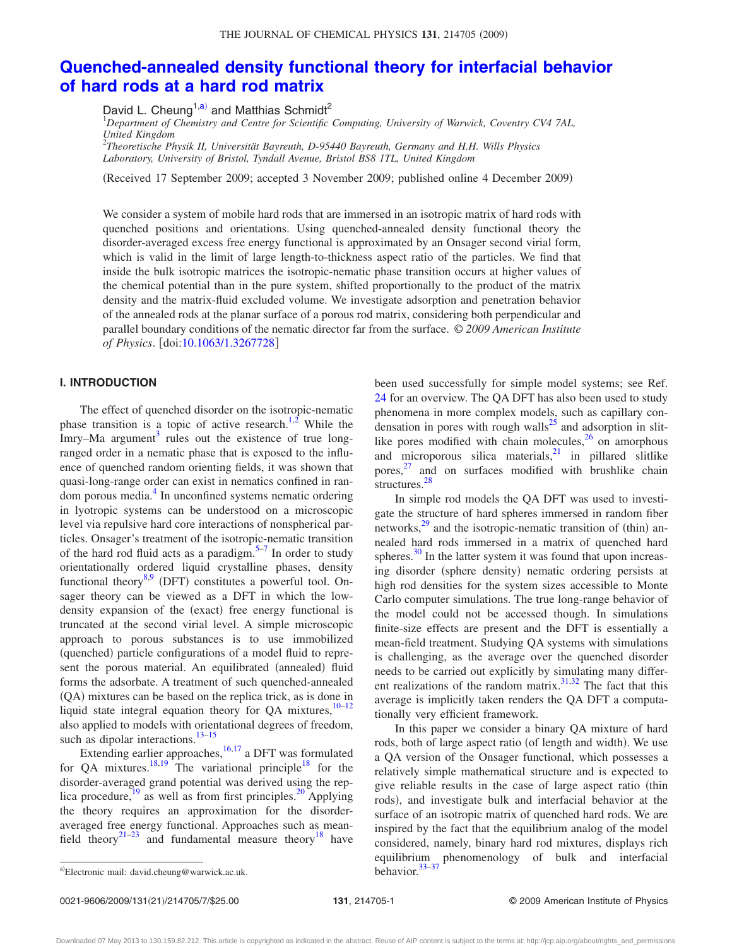#### THE JOURNAL OF CHEMICAL PHYSICS 131, 214705 (2009)

# **[Quenched-annealed density functional theory for interfacial behavior](http://dx.doi.org/10.1063/1.3267728) [of hard rods at a hard rod matrix](http://dx.doi.org/10.1063/1.3267728)**

David L. Cheung<sup>1[,a](#page-0-0))</sup> and Matthias Schmidt<sup>2</sup>

1 *Department of Chemistry and Centre for Scientific Computing, University of Warwick, Coventry CV4 7AL, United Kingdom* 2 *Theoretische Physik II, Universität Bayreuth, D-95440 Bayreuth, Germany and H.H. Wills Physics*

*Laboratory, University of Bristol, Tyndall Avenue, Bristol BS8 1TL, United Kingdom*

Received 17 September 2009; accepted 3 November 2009; published online 4 December 2009-

We consider a system of mobile hard rods that are immersed in an isotropic matrix of hard rods with quenched positions and orientations. Using quenched-annealed density functional theory the disorder-averaged excess free energy functional is approximated by an Onsager second virial form, which is valid in the limit of large length-to-thickness aspect ratio of the particles. We find that inside the bulk isotropic matrices the isotropic-nematic phase transition occurs at higher values of the chemical potential than in the pure system, shifted proportionally to the product of the matrix density and the matrix-fluid excluded volume. We investigate adsorption and penetration behavior of the annealed rods at the planar surface of a porous rod matrix, considering both perpendicular and parallel boundary conditions of the nematic director far from the surface. © *2009 American Institute of Physics.* [doi[:10.1063/1.3267728](http://dx.doi.org/10.1063/1.3267728)]

# **I. INTRODUCTION**

The effect of quenched disorder on the isotropic-nematic phase transition is a topic of active research.<sup>1,[2](#page-6-1)</sup> While the Imry–Ma argument<sup>3</sup> rules out the existence of true longranged order in a nematic phase that is exposed to the influence of quenched random orienting fields, it was shown that quasi-long-range order can exist in nematics confined in random porous media.<sup>4</sup> In unconfined systems nematic ordering in lyotropic systems can be understood on a microscopic level via repulsive hard core interactions of nonspherical particles. Onsager's treatment of the isotropic-nematic transition of the hard rod fluid acts as a paradigm.<sup>5–[7](#page-6-5)</sup> In order to study orientationally ordered liquid crystalline phases, density functional theory $8.9$  $8.9$  (DFT) constitutes a powerful tool. Onsager theory can be viewed as a DFT in which the lowdensity expansion of the (exact) free energy functional is truncated at the second virial level. A simple microscopic approach to porous substances is to use immobilized (quenched) particle configurations of a model fluid to represent the porous material. An equilibrated (annealed) fluid forms the adsorbate. A treatment of such quenched-annealed (QA) mixtures can be based on the replica trick, as is done in liquid state integral equation theory for  $QA$  mixtures,  $10-12$  $10-12$ also applied to models with orientational degrees of freedom, such as dipolar interactions. $13-15$ 

Extending earlier approaches,  $^{16,17}$  $^{16,17}$  $^{16,17}$  a DFT was formulated for QA mixtures.<sup>18,[19](#page-6-15)</sup> The variational principle<sup>18</sup> for the disorder-averaged grand potential was derived using the replica procedure,<sup>19</sup> as well as from first principles.<sup>20</sup> Applying the theory requires an approximation for the disorderaveraged free energy functional. Approaches such as mean-field theory<sup>21[–23](#page-6-18)</sup> and fundamental measure theory<sup>18</sup> have been used successfully for simple model systems; see Ref. [24](#page-6-19) for an overview. The QA DFT has also been used to study phenomena in more complex models, such as capillary condensation in pores with rough walls $^{25}$  and adsorption in slitlike pores modified with chain molecules, $26$  on amorphous and microporous silica materials, $21$  in pillared slitlike pores, [27](#page-6-22) and on surfaces modified with brushlike chain structures.<sup>28</sup>

In simple rod models the QA DFT was used to investigate the structure of hard spheres immersed in random fiber networks, $2<sup>9</sup>$  and the isotropic-nematic transition of (thin) annealed hard rods immersed in a matrix of quenched hard spheres. $30$  In the latter system it was found that upon increasing disorder (sphere density) nematic ordering persists at high rod densities for the system sizes accessible to Monte Carlo computer simulations. The true long-range behavior of the model could not be accessed though. In simulations finite-size effects are present and the DFT is essentially a mean-field treatment. Studying QA systems with simulations is challenging, as the average over the quenched disorder needs to be carried out explicitly by simulating many different realizations of the random matrix. $31,32$  $31,32$  The fact that this average is implicitly taken renders the QA DFT a computationally very efficient framework.

In this paper we consider a binary QA mixture of hard rods, both of large aspect ratio (of length and width). We use a QA version of the Onsager functional, which possesses a relatively simple mathematical structure and is expected to give reliable results in the case of large aspect ratio (thin rods), and investigate bulk and interfacial behavior at the surface of an isotropic matrix of quenched hard rods. We are inspired by the fact that the equilibrium analog of the model considered, namely, binary hard rod mixtures, displays rich equilibrium phenomenology of bulk and interfacial behavior.<sup>33-37</sup>

<span id="page-0-0"></span>a)Electronic mail: david.cheung@warwick.ac.uk. behavior.<sup>[33](#page-6-28)[–37](#page-6-29)</sup>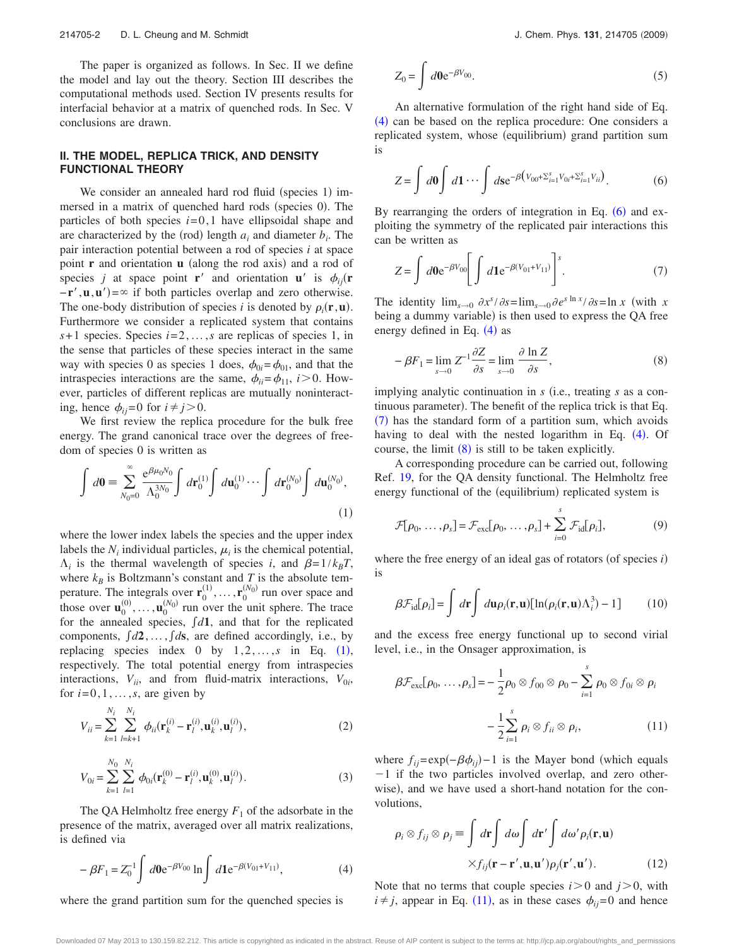The paper is organized as follows. In Sec. II we define the model and lay out the theory. Section III describes the computational methods used. Section IV presents results for interfacial behavior at a matrix of quenched rods. In Sec. V conclusions are drawn.

#### **II. THE MODEL, REPLICA TRICK, AND DENSITY FUNCTIONAL THEORY**

We consider an annealed hard rod fluid (species 1) immersed in a matrix of quenched hard rods (species 0). The particles of both species  $i=0,1$  have ellipsoidal shape and are characterized by the (rod) length  $a_i$  and diameter  $b_i$ . The pair interaction potential between a rod of species *i* at space point **r** and orientation **u** (along the rod axis) and a rod of species *j* at space point **r**' and orientation **u**' is  $\phi_{ij}(\mathbf{r})$  $-\mathbf{r}'$ , **u**, **u**') = ∞ if both particles overlap and zero otherwise. The one-body distribution of species *i* is denoted by  $\rho_i(\mathbf{r}, \mathbf{u})$ . Furthermore we consider a replicated system that contains *s*+ 1 species. Species *i*=2,...,*s* are replicas of species 1, in the sense that particles of these species interact in the same way with species 0 as species 1 does,  $\phi_{0i} = \phi_{01}$ , and that the intraspecies interactions are the same,  $\phi_{ii} = \phi_{11}$ , *i* > 0. However, particles of different replicas are mutually noninteracting, hence  $\phi_{ij}=0$  for  $i \neq j > 0$ .

We first review the replica procedure for the bulk free energy. The grand canonical trace over the degrees of freedom of species 0 is written as

<span id="page-1-0"></span>
$$
\int d\mathbf{0} = \sum_{N_0=0}^{\infty} \frac{e^{\beta \mu_0 N_0}}{\Lambda_0^{3N_0}} \int d\mathbf{r}_0^{(1)} \int d\mathbf{u}_0^{(1)} \cdots \int d\mathbf{r}_0^{(N_0)} \int d\mathbf{u}_0^{(N_0)},
$$
\n(1)

where the lower index labels the species and the upper index labels the  $N_i$  individual particles,  $\mu_i$  is the chemical potential,  $\Lambda_i$  is the thermal wavelength of species *i*, and  $\beta = 1/k_B T$ , where  $k_B$  is Boltzmann's constant and *T* is the absolute temperature. The integrals over  $\mathbf{r}_0^{(1)}, \ldots, \mathbf{r}_0^{(N_0)}$  run over space and those over  $\mathbf{u}_0^{(0)}, \ldots, \mathbf{u}_0^{(N_0)}$  run over the unit sphere. The trace for the annealed species,  $\int d1$ , and that for the replicated components,  $\int d2, \ldots, \int ds$ , are defined accordingly, i.e., by replacing species index  $0$  by  $1, 2, ..., s$  $1, 2, ..., s$  in Eq. (1), respectively. The total potential energy from intraspecies interactions,  $V_{ii}$ , and from fluid-matrix interactions,  $V_{0i}$ , for  $i=0,1,\ldots,s$ , are given by

$$
V_{ii} = \sum_{k=1}^{N_i} \sum_{l=k+1}^{N_i} \phi_{ii}(\mathbf{r}_k^{(i)} - \mathbf{r}_l^{(i)}, \mathbf{u}_k^{(i)}, \mathbf{u}_l^{(i)}),
$$
(2)

$$
V_{0i} = \sum_{k=1}^{N_0} \sum_{l=1}^{N_i} \phi_{0i}(\mathbf{r}_k^{(0)} - \mathbf{r}_l^{(i)}, \mathbf{u}_k^{(0)}, \mathbf{u}_l^{(i)}).
$$
 (3)

The QA Helmholtz free energy  $F_1$  of the adsorbate in the presence of the matrix, averaged over all matrix realizations, is defined via

<span id="page-1-1"></span>
$$
-\beta F_1 = Z_0^{-1} \int d\mathbf{0} e^{-\beta V_{00}} \ln \int d\mathbf{1} e^{-\beta (V_{01} + V_{11})}, \tag{4}
$$

where the grand partition sum for the quenched species is

$$
Z_0 = \int d\mathbf{0} e^{-\beta V_{00}}.
$$
 (5)

An alternative formulation of the right hand side of Eq. ([4](#page-1-1)) can be based on the replica procedure: One considers a replicated system, whose (equilibrium) grand partition sum is

<span id="page-1-2"></span>
$$
Z = \int d\mathbf{0} \int d\mathbf{1} \cdots \int d\mathbf{s} e^{-\beta \left(V_{00} + \sum_{i=1}^{s} V_{0i} + \sum_{i=1}^{s} V_{ii}\right)}.
$$
 (6)

By rearranging the orders of integration in Eq.  $(6)$  $(6)$  $(6)$  and exploiting the symmetry of the replicated pair interactions this can be written as

<span id="page-1-3"></span>
$$
Z = \int d0 e^{-\beta V_{00}} \left[ \int d1 e^{-\beta (V_{01} + V_{11})} \right]^s.
$$
 (7)

The identity  $\lim_{s\to 0} \frac{\partial x^s}{\partial s} = \lim_{s\to 0} \frac{\partial e^{s \ln x}}{\partial s} = \ln x$  (with *x* being a dummy variable) is then used to express the QA free energy defined in Eq.  $(4)$  $(4)$  $(4)$  as

<span id="page-1-4"></span>
$$
-\beta F_1 = \lim_{s \to 0} Z^{-1} \frac{\partial Z}{\partial s} = \lim_{s \to 0} \frac{\partial \ln Z}{\partial s},
$$
\n(8)

implying analytic continuation in *s* (i.e., treating *s* as a continuous parameter). The benefit of the replica trick is that Eq. ([7](#page-1-3)) has the standard form of a partition sum, which avoids having to deal with the nested logarithm in Eq. ([4](#page-1-1)). Of course, the limit  $(8)$  $(8)$  $(8)$  is still to be taken explicitly.

A corresponding procedure can be carried out, following Ref. [19,](#page-6-15) for the QA density functional. The Helmholtz free energy functional of the (equilibrium) replicated system is

$$
\mathcal{F}[\rho_0, \dots, \rho_s] = \mathcal{F}_{\text{exc}}[\rho_0, \dots, \rho_s] + \sum_{i=0}^s \mathcal{F}_{\text{id}}[\rho_i],
$$
 (9)

where the free energy of an ideal gas of rotators (of species *i*) is

$$
\beta \mathcal{F}_{\text{id}}[\rho_i] = \int d\mathbf{r} \int d\mathbf{u} \rho_i(\mathbf{r}, \mathbf{u}) [\ln(\rho_i(\mathbf{r}, \mathbf{u}) \Lambda_i^3) - 1] \tag{10}
$$

and the excess free energy functional up to second virial level, i.e., in the Onsager approximation, is

<span id="page-1-5"></span>
$$
\beta \mathcal{F}_{\text{exc}}[\rho_0, \dots, \rho_s] = -\frac{1}{2} \rho_0 \otimes f_{00} \otimes \rho_0 - \sum_{i=1}^s \rho_0 \otimes f_{0i} \otimes \rho_i
$$

$$
-\frac{1}{2} \sum_{i=1}^s \rho_i \otimes f_{ii} \otimes \rho_i, \qquad (11)
$$

where  $f_{ij} = \exp(-\beta \phi_{ij}) - 1$  is the Mayer bond (which equals  $-1$  if the two particles involved overlap, and zero otherwise), and we have used a short-hand notation for the convolutions,

$$
\rho_i \otimes f_{ij} \otimes \rho_j \equiv \int d\mathbf{r} \int d\omega \int d\mathbf{r}' \int d\omega' \rho_i(\mathbf{r}, \mathbf{u})
$$

$$
\times f_{ij}(\mathbf{r} - \mathbf{r}', \mathbf{u}, \mathbf{u}') \rho_j(\mathbf{r}', \mathbf{u}'). \tag{12}
$$

Note that no terms that couple species  $i>0$  and  $j>0$ , with  $i \neq j$ , appear in Eq. ([11](#page-1-5)), as in these cases  $\phi_{ij} = 0$  and hence

Downloaded 07 May 2013 to 130.159.82.212. This article is copyrighted as indicated in the abstract. Reuse of AIP content is subject to the terms at: http://jcp.aip.org/about/rights\_and\_permissions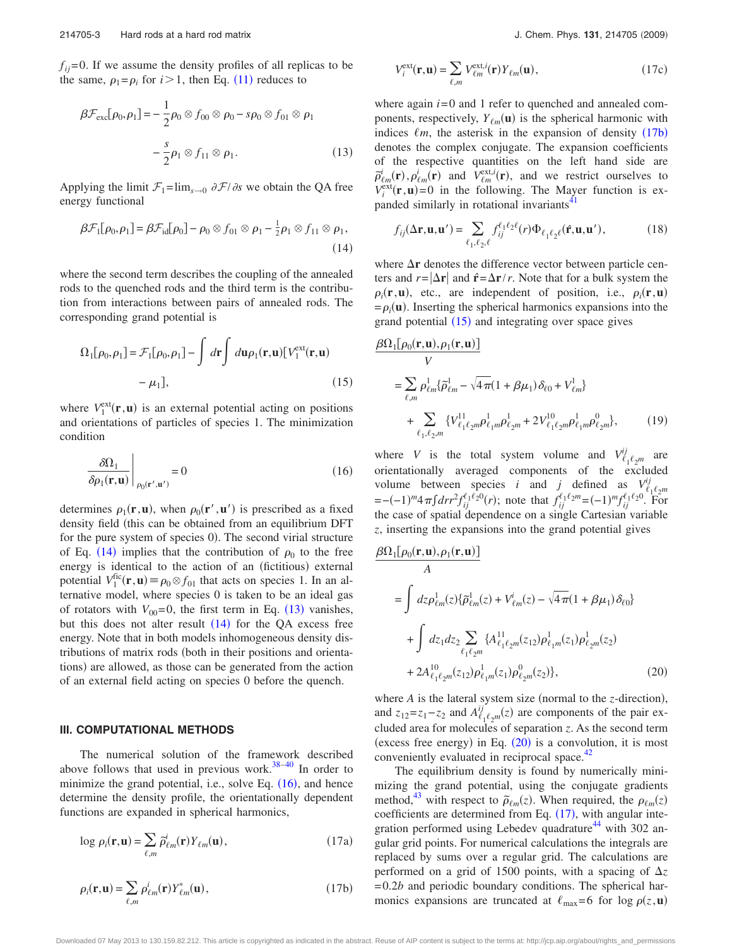$f_{ii}$ =0. If we assume the density profiles of all replicas to be the same,  $\rho_1 = \rho_i$  for  $i > 1$ , then Eq. ([11](#page-1-5)) reduces to

<span id="page-2-1"></span>
$$
\beta \mathcal{F}_{\text{exc}}[\rho_0, \rho_1] = -\frac{1}{2} \rho_0 \otimes f_{00} \otimes \rho_0 - s \rho_0 \otimes f_{01} \otimes \rho_1
$$

$$
-\frac{s}{2} \rho_1 \otimes f_{11} \otimes \rho_1.
$$
 (13)

Applying the limit  $\mathcal{F}_1 = \lim_{s \to 0} \frac{\partial \mathcal{F}}{\partial s}$  we obtain the QA free energy functional

<span id="page-2-0"></span>
$$
\beta \mathcal{F}_1[\rho_0, \rho_1] = \beta \mathcal{F}_{\text{id}}[\rho_0] - \rho_0 \otimes f_{01} \otimes \rho_1 - \frac{1}{2} \rho_1 \otimes f_{11} \otimes \rho_1,
$$
\n(14)

where the second term describes the coupling of the annealed rods to the quenched rods and the third term is the contribution from interactions between pairs of annealed rods. The corresponding grand potential is

<span id="page-2-4"></span>
$$
\Omega_1[\rho_0, \rho_1] = \mathcal{F}_1[\rho_0, \rho_1] - \int d\mathbf{r} \int d\mathbf{u} \rho_1(\mathbf{r}, \mathbf{u}) [V_1^{\text{ext}}(\mathbf{r}, \mathbf{u}) - \mu_1],
$$
\n(15)

where  $V_1^{\text{ext}}(\mathbf{r}, \mathbf{u})$  is an external potential acting on positions and orientations of particles of species 1. The minimization condition

<span id="page-2-2"></span>
$$
\left. \frac{\delta \Omega_1}{\delta \rho_1(\mathbf{r}, \mathbf{u})} \right|_{\rho_0(\mathbf{r}', \mathbf{u}')} = 0 \tag{16}
$$

determines  $\rho_1(\mathbf{r}, \mathbf{u})$ , when  $\rho_0(\mathbf{r}', \mathbf{u}')$  is prescribed as a fixed density field (this can be obtained from an equilibrium DFT for the pure system of species 0). The second virial structure of Eq. ([14](#page-2-0)) implies that the contribution of  $\rho_0$  to the free energy is identical to the action of an (fictitious) external potential  $V_1^{\text{fic}}(\mathbf{r}, \mathbf{u}) \equiv \rho_0 \otimes f_{01}$  that acts on species 1. In an alternative model, where species 0 is taken to be an ideal gas of rotators with  $V_{00} = 0$ , the first term in Eq. ([13](#page-2-1)) vanishes, but this does not alter result  $(14)$  $(14)$  $(14)$  for the QA excess free energy. Note that in both models inhomogeneous density distributions of matrix rods (both in their positions and orientations) are allowed, as those can be generated from the action of an external field acting on species 0 before the quench.

# **III. COMPUTATIONAL METHODS**

The numerical solution of the framework described above follows that used in previous work. $38-40$  $38-40$  In order to minimize the grand potential, i.e., solve Eq.  $(16)$  $(16)$  $(16)$ , and hence determine the density profile, the orientationally dependent functions are expanded in spherical harmonics,

<span id="page-2-6"></span>
$$
\log \rho_i(\mathbf{r}, \mathbf{u}) = \sum_{\ell,m} \tilde{\rho}_{\ell m}^i(\mathbf{r}) Y_{\ell m}(\mathbf{u}), \qquad (17a)
$$

<span id="page-2-3"></span>
$$
\rho_i(\mathbf{r}, \mathbf{u}) = \sum_{\ell,m} \rho_{\ell m}^i(\mathbf{r}) Y_{\ell m}^*(\mathbf{u}), \qquad (17b)
$$

$$
V_i^{\text{ext}}(\mathbf{r}, \mathbf{u}) = \sum_{\ell,m} V_{\ell m}^{\text{ext},i}(\mathbf{r}) Y_{\ell m}(\mathbf{u}), \qquad (17c)
$$

where again  $i=0$  and 1 refer to quenched and annealed components, respectively,  $Y_{\ell m}(\mathbf{u})$  is the spherical harmonic with indices  $\ell m$ , the asterisk in the expansion of density  $(17b)$  $(17b)$  $(17b)$ denotes the complex conjugate. The expansion coefficients of the respective quantities on the left hand side are  $\vec{p}_{\ell m}^i(\mathbf{r}), \vec{p}_{\ell m}^i(\mathbf{r})$  and  $V_{\ell m}^{\text{ext},i}(\mathbf{r})$ , and we restrict ourselves to  $V_i^{\text{ext}}(\mathbf{r}, \mathbf{u}) = 0$  in the following. The Mayer function is expanded similarly in rotational invariants<sup>41</sup>

$$
f_{ij}(\Delta \mathbf{r}, \mathbf{u}, \mathbf{u}') = \sum_{\ell_1, \ell_2, \ell} f_{ij}^{\ell_1 \ell_2 \ell}(r) \Phi_{\ell_1 \ell_2 \ell}(\hat{\mathbf{r}}, \mathbf{u}, \mathbf{u}'), \tag{18}
$$

where  $\Delta r$  denotes the difference vector between particle centers and  $r = |\Delta r|$  and  $\hat{r} = \Delta r/r$ . Note that for a bulk system the  $\rho_i(\mathbf{r}, \mathbf{u})$ , etc., are independent of position, i.e.,  $\rho_i(\mathbf{r}, \mathbf{u})$  $= \rho_i(\mathbf{u})$ . Inserting the spherical harmonics expansions into the grand potential  $(15)$  $(15)$  $(15)$  and integrating over space gives

$$
\frac{\beta \Omega_1[\rho_0(\mathbf{r}, \mathbf{u}), \rho_1(\mathbf{r}, \mathbf{u})]}{V}
$$
\n
$$
= \sum_{\ell,m} \rho_{\ell m}^1 \{\tilde{\rho}_{\ell m}^1 - \sqrt{4\pi} (1 + \beta \mu_1) \delta_{\ell 0} + V_{\ell m}^1\}
$$
\n
$$
+ \sum_{\ell_1, \ell_2, m} \{V_{\ell_1 \ell_2 m}^{11} \rho_{\ell_1 m}^1 \rho_{\ell_2 m}^1 + 2V_{\ell_1 \ell_2 m}^{10} \rho_{\ell_1 m}^0 \rho_{\ell_2 m}^0\}, \qquad (19)
$$

where *V* is the total system volume and  $V_{\ell_1 \ell_2 m}^{ij}$  are orientationally averaged components of the excluded volume between species *i* and *j* defined as  $V_{\ell, \ell, m}^{ij}$  $= -(-1)^m 4 \pi \int dr r^2 f_{ij}^{\ell_1 \ell_2 0}(r)$ ; note that  $f_{ij}^{\ell_1 \ell_2 m} = (-1)^m f_{ij}^{\ell_1 \ell_2 0}$ . For the case of spatial dependence on a single Cartesian variable *z*, inserting the expansions into the grand potential gives

<span id="page-2-5"></span>
$$
\frac{\beta \Omega_1[\rho_0(\mathbf{r}, \mathbf{u}), \rho_1(\mathbf{r}, \mathbf{u})]}{A}
$$
\n
$$
= \int dz \rho_{\ell m}^1(z) \{ \tilde{\rho}_{\ell m}^1(z) + V_{\ell m}^i(z) - \sqrt{4\pi} (1 + \beta \mu_1) \delta_{\ell 0} \}
$$
\n
$$
+ \int dz_1 dz_2 \sum_{\ell_1 \ell_2 m} \{ A_{\ell_1 \ell_2 m}^{11}(z_{12}) \rho_{\ell_1 m}^1(z_1) \rho_{\ell_2 m}^1(z_2) + 2A_{\ell_1 \ell_2 m}^{10}(z_{12}) \rho_{\ell_1 m}^1(z_1) \rho_{\ell_2 m}^0(z_2) \},
$$
\n(20)

where  $A$  is the lateral system size (normal to the  $z$ -direction), and  $z_{12} = z_1 - z_2$  and  $A^{ij}_{\ell_1 \ell_2 m}(z)$  are components of the pair excluded area for molecules of separation *z*. As the second term (excess free energy) in Eq.  $(20)$  $(20)$  $(20)$  is a convolution, it is most conveniently evaluated in reciprocal space.<sup>42</sup>

The equilibrium density is found by numerically minimizing the grand potential, using the conjugate gradients method,<sup>43</sup> with respect to  $\tilde{\rho}_{\ell m}(z)$ . When required, the  $\rho_{\ell m}(z)$ coefficients are determined from Eq.  $(17)$  $(17)$  $(17)$ , with angular integration performed using Lebedev quadrature $44$  with 302 angular grid points. For numerical calculations the integrals are replaced by sums over a regular grid. The calculations are performed on a grid of 1500 points, with a spacing of  $\Delta z$ = 0.2*b* and periodic boundary conditions. The spherical harmonics expansions are truncated at  $\ell_{\text{max}}=6$  for log  $\rho(z, \mathbf{u})$ 

Downloaded 07 May 2013 to 130.159.82.212. This article is copyrighted as indicated in the abstract. Reuse of AIP content is subject to the terms at: http://jcp.aip.org/about/rights\_and\_permissions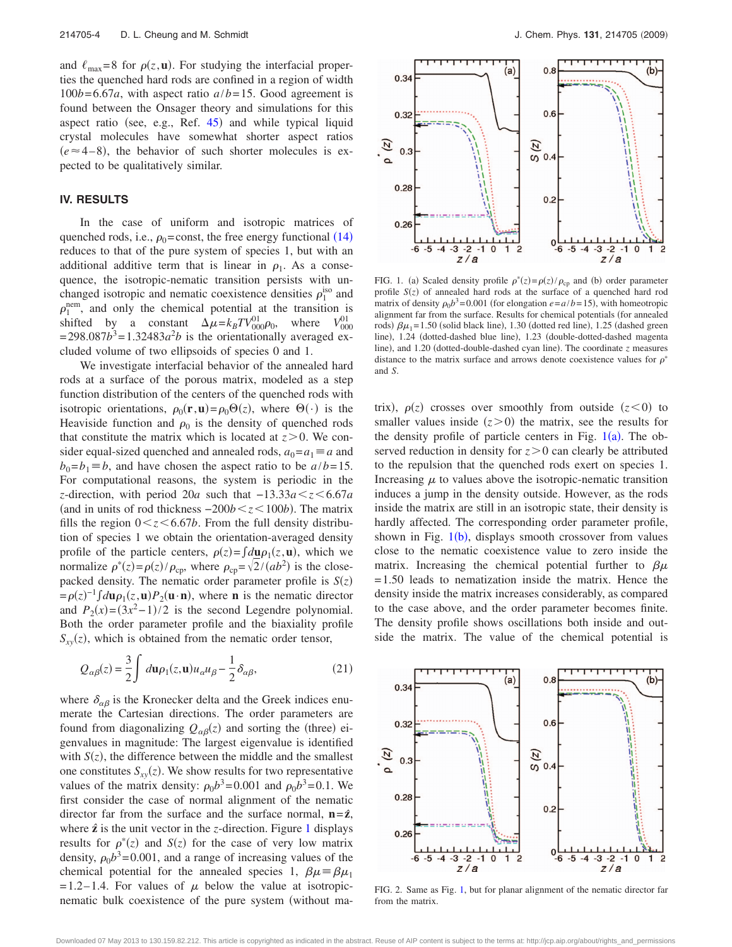and  $\ell_{\text{max}} = 8$  for  $\rho(z, \mathbf{u})$ . For studying the interfacial properties the quenched hard rods are confined in a region of width  $100b = 6.67a$ , with aspect ratio  $a/b = 15$ . Good agreement is found between the Onsager theory and simulations for this aspect ratio (see, e.g., Ref. [45](#page-6-36)) and while typical liquid crystal molecules have somewhat shorter aspect ratios  $(e \approx 4-8)$ , the behavior of such shorter molecules is expected to be qualitatively similar.

### **IV. RESULTS**

In the case of uniform and isotropic matrices of quenched rods, i.e.,  $\rho_0$ =const, the free energy functional ([14](#page-2-0)) reduces to that of the pure system of species 1, but with an additional additive term that is linear in  $\rho_1$ . As a consequence, the isotropic-nematic transition persists with unchanged isotropic and nematic coexistence densities  $\rho_1^{\text{iso}}$  and  $\rho_1^{\text{nem}}$ , and only the chemical potential at the transition is shifted by a constant  $\Delta \mu = k_B T V_{000}^{01} \rho_0$ , where  $V_{000}^{01}$  $= 298.087b^3 = 1.32483a^2b$  is the orientationally averaged excluded volume of two ellipsoids of species 0 and 1.

We investigate interfacial behavior of the annealed hard rods at a surface of the porous matrix, modeled as a step function distribution of the centers of the quenched rods with isotropic orientations,  $\rho_0(\mathbf{r}, \mathbf{u}) = \rho_0 \Theta(z)$ , where  $\Theta(\cdot)$  is the Heaviside function and  $\rho_0$  is the density of quenched rods that constitute the matrix which is located at  $z > 0$ . We consider equal-sized quenched and annealed rods,  $a_0 = a_1 \equiv a$  and  $b_0 = b_1 \equiv b$ , and have chosen the aspect ratio to be  $a/b = 15$ . For computational reasons, the system is periodic in the *z*-direction, with period 20*a* such that −13.33*a*<sup>*z*</sup>  $\lt$ 5.67*a* (and in units of rod thickness  $-200b \lt z \lt 100b$ ). The matrix fills the region  $0 < z < 6.67b$ . From the full density distribution of species 1 we obtain the orientation-averaged density profile of the particle centers,  $\rho(z) = \int d\mu \rho_1(z, \mathbf{u})$ , which we normalize  $\rho^*(z) = \rho(z)/\rho_{cp}$ , where  $\rho_{cp} = \sqrt{2}/(ab^2)$  is the closepacked density. The nematic order parameter profile is  $S(z)$  $= \rho(z)^{-1} \int d\mathbf{u} \rho_1(z, \mathbf{u}) P_2(\mathbf{u} \cdot \mathbf{n})$ , where **n** is the nematic director and  $P_2(x) = (3x^2 - 1)/2$  is the second Legendre polynomial. Both the order parameter profile and the biaxiality profile  $S_{xy}(z)$ , which is obtained from the nematic order tensor,

$$
Q_{\alpha\beta}(z) = \frac{3}{2} \int d\mathbf{u} \rho_1(z, \mathbf{u}) u_{\alpha} u_{\beta} - \frac{1}{2} \delta_{\alpha\beta},
$$
 (21)

where  $\delta_{\alpha\beta}$  is the Kronecker delta and the Greek indices enumerate the Cartesian directions. The order parameters are found from diagonalizing  $Q_{\alpha\beta}(z)$  and sorting the (three) eigenvalues in magnitude: The largest eigenvalue is identified with  $S(z)$ , the difference between the middle and the smallest one constitutes  $S_{xy}(z)$ . We show results for two representative values of the matrix density:  $\rho_0 b^3 = 0.001$  and  $\rho_0 b^3 = 0.1$ . We first consider the case of normal alignment of the nematic director far from the surface and the surface normal,  $n = \hat{z}$ , where  $\hat{z}$  is the unit vector in the *z*-direction. Figure [1](#page-3-0) displays results for  $\rho^*(z)$  and  $S(z)$  for the case of very low matrix density,  $\rho_0 b^3 = 0.001$ , and a range of increasing values of the chemical potential for the annealed species 1,  $\beta \mu = \beta \mu_1$  $= 1.2 - 1.4$ . For values of  $\mu$  below the value at isotropicnematic bulk coexistence of the pure system (without ma-

<span id="page-3-0"></span>

FIG. 1. (a) Scaled density profile  $\rho^*(z) = \rho(z)/\rho_{cp}$  and (b) order parameter profile  $S(z)$  of annealed hard rods at the surface of a quenched hard rod matrix of density  $\rho_0 b^3 = 0.001$  (for elongation  $e = a/b = 15$ ), with homeotropic alignment far from the surface. Results for chemical potentials (for annealed rods)  $\beta\mu_1 = 1.50$  (solid black line), 1.30 (dotted red line), 1.25 (dashed green line), 1.24 (dotted-dashed blue line), 1.23 (double-dotted-dashed magenta line), and 1.20 (dotted-double-dashed cyan line). The coordinate *z* measures distance to the matrix surface and arrows denote coexistence values for  $\rho^*$ and *S*.

trix),  $\rho(z)$  crosses over smoothly from outside  $(z<0)$  to smaller values inside  $(z>0)$  the matrix, see the results for the density profile of particle centers in Fig.  $1(a)$  $1(a)$ . The observed reduction in density for  $z > 0$  can clearly be attributed to the repulsion that the quenched rods exert on species 1. Increasing  $\mu$  to values above the isotropic-nematic transition induces a jump in the density outside. However, as the rods inside the matrix are still in an isotropic state, their density is hardly affected. The corresponding order parameter profile, shown in Fig.  $1(b)$  $1(b)$ , displays smooth crossover from values close to the nematic coexistence value to zero inside the matrix. Increasing the chemical potential further to  $\beta\mu$ = 1.50 leads to nematization inside the matrix. Hence the density inside the matrix increases considerably, as compared to the case above, and the order parameter becomes finite. The density profile shows oscillations both inside and outside the matrix. The value of the chemical potential is

<span id="page-3-1"></span>

FIG. 2. Same as Fig. [1,](#page-3-0) but for planar alignment of the nematic director far from the matrix.

Downloaded 07 May 2013 to 130.159.82.212. This article is copyrighted as indicated in the abstract. Reuse of AIP content is subject to the terms at: http://jcp.aip.org/about/rights\_and\_permissions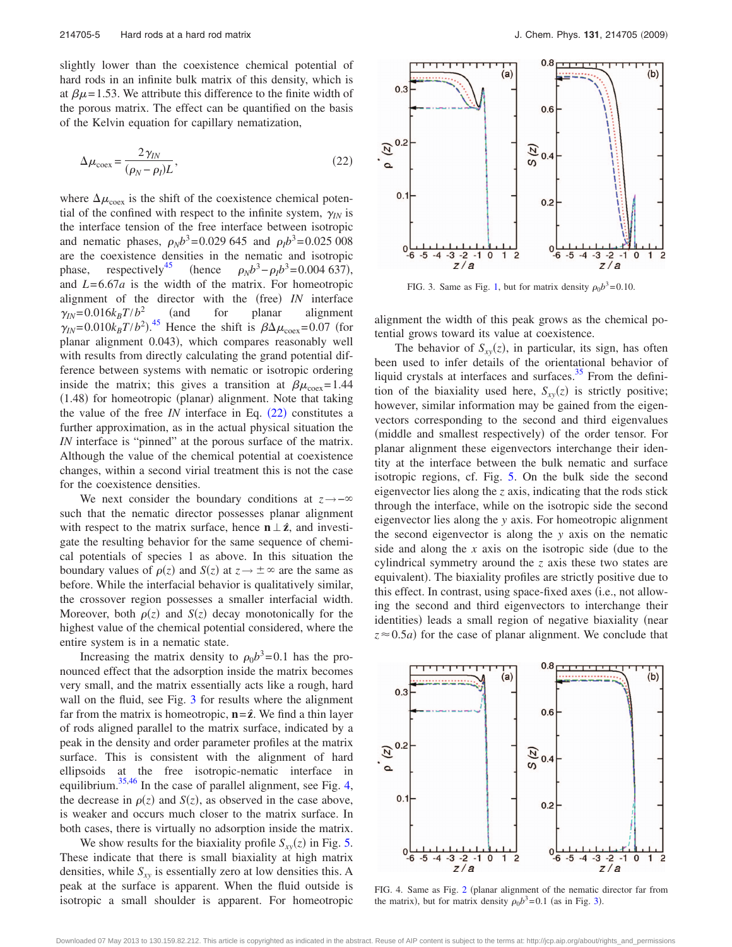slightly lower than the coexistence chemical potential of hard rods in an infinite bulk matrix of this density, which is at  $\beta \mu$  = 1.53. We attribute this difference to the finite width of the porous matrix. The effect can be quantified on the basis of the Kelvin equation for capillary nematization,

<span id="page-4-0"></span>
$$
\Delta \mu_{\text{coex}} = \frac{2\gamma_{IN}}{(\rho_N - \rho_l)L},\tag{22}
$$

where  $\Delta \mu_{\text{coex}}$  is the shift of the coexistence chemical potential of the confined with respect to the infinite system,  $\gamma_{IN}$  is the interface tension of the free interface between isotropic and nematic phases,  $\rho_N b^3 = 0.029\,645$  and  $\rho_I b^3 = 0.025\,008$ are the coexistence densities in the nematic and isotropic phase, respectively<sup>45</sup> (hence  $\rho_N b^3 - \rho_I b^3 = 0.004\,637$ ), and *L*= 6.67*a* is the width of the matrix. For homeotropic alignment of the director with the (free) IN interface  $\gamma_{IN} = 0.016k_B T/b^2$  (and for planar alignment  $\gamma_{IN} = 0.010 k_B T/b^2$ .<sup>[45](#page-6-36)</sup> Hence the shift is  $\beta \Delta \mu_{\text{coex}} = 0.07$  (for planar alignment 0.043), which compares reasonably well with results from directly calculating the grand potential difference between systems with nematic or isotropic ordering inside the matrix; this gives a transition at  $\beta\mu_{\text{coex}}= 1.44$ (1.48) for homeotropic (planar) alignment. Note that taking the value of the free  $IN$  interface in Eq.  $(22)$  $(22)$  $(22)$  constitutes a further approximation, as in the actual physical situation the *IN* interface is "pinned" at the porous surface of the matrix. Although the value of the chemical potential at coexistence changes, within a second virial treatment this is not the case for the coexistence densities.

We next consider the boundary conditions at  $z \rightarrow -\infty$ such that the nematic director possesses planar alignment with respect to the matrix surface, hence  $\mathbf{n} \perp \hat{\mathbf{z}}$ , and investigate the resulting behavior for the same sequence of chemical potentials of species 1 as above. In this situation the boundary values of  $\rho(z)$  and  $S(z)$  at  $z \to \pm \infty$  are the same as before. While the interfacial behavior is qualitatively similar, the crossover region possesses a smaller interfacial width. Moreover, both  $\rho(z)$  and  $S(z)$  decay monotonically for the highest value of the chemical potential considered, where the entire system is in a nematic state.

Increasing the matrix density to  $\rho_0 b^3 = 0.1$  has the pronounced effect that the adsorption inside the matrix becomes very small, and the matrix essentially acts like a rough, hard wall on the fluid, see Fig. [3](#page-4-1) for results where the alignment far from the matrix is homeotropic,  $\mathbf{n} = \hat{\mathbf{z}}$ . We find a thin layer of rods aligned parallel to the matrix surface, indicated by a peak in the density and order parameter profiles at the matrix surface. This is consistent with the alignment of hard ellipsoids at the free isotropic-nematic interface in equilibrium.<sup>35,[46](#page-6-38)</sup> In the case of parallel alignment, see Fig. [4,](#page-4-2) the decrease in  $\rho(z)$  and  $S(z)$ , as observed in the case above, is weaker and occurs much closer to the matrix surface. In both cases, there is virtually no adsorption inside the matrix.

We show results for the biaxiality profile  $S_{xy}(z)$  in Fig. [5.](#page-5-0) These indicate that there is small biaxiality at high matrix densities, while  $S_{xy}$  is essentially zero at low densities this. A peak at the surface is apparent. When the fluid outside is isotropic a small shoulder is apparent. For homeotropic

<span id="page-4-1"></span>

FIG. 3. Same as Fig. [1,](#page-3-0) but for matrix density  $\rho_0 b^3 = 0.10$ .

alignment the width of this peak grows as the chemical potential grows toward its value at coexistence.

The behavior of  $S_{xy}(z)$ , in particular, its sign, has often been used to infer details of the orientational behavior of liquid crystals at interfaces and surfaces. $35$  From the definition of the biaxiality used here,  $S_{xy}(z)$  is strictly positive; however, similar information may be gained from the eigenvectors corresponding to the second and third eigenvalues (middle and smallest respectively) of the order tensor. For planar alignment these eigenvectors interchange their identity at the interface between the bulk nematic and surface isotropic regions, cf. Fig. [5.](#page-5-0) On the bulk side the second eigenvector lies along the *z* axis, indicating that the rods stick through the interface, while on the isotropic side the second eigenvector lies along the *y* axis. For homeotropic alignment the second eigenvector is along the *y* axis on the nematic side and along the  $x$  axis on the isotropic side (due to the cylindrical symmetry around the *z* axis these two states are equivalent). The biaxiality profiles are strictly positive due to this effect. In contrast, using space-fixed axes (i.e., not allowing the second and third eigenvectors to interchange their identities) leads a small region of negative biaxiality (near  $z \approx 0.5a$ ) for the case of planar alignment. We conclude that

<span id="page-4-2"></span>

FIG. 4. Same as Fig. [2](#page-3-1) (planar alignment of the nematic director far from the matrix), but for matrix density  $\rho_0 b^3 = 0.1$  $\rho_0 b^3 = 0.1$  $\rho_0 b^3 = 0.1$  (as in Fig. 3).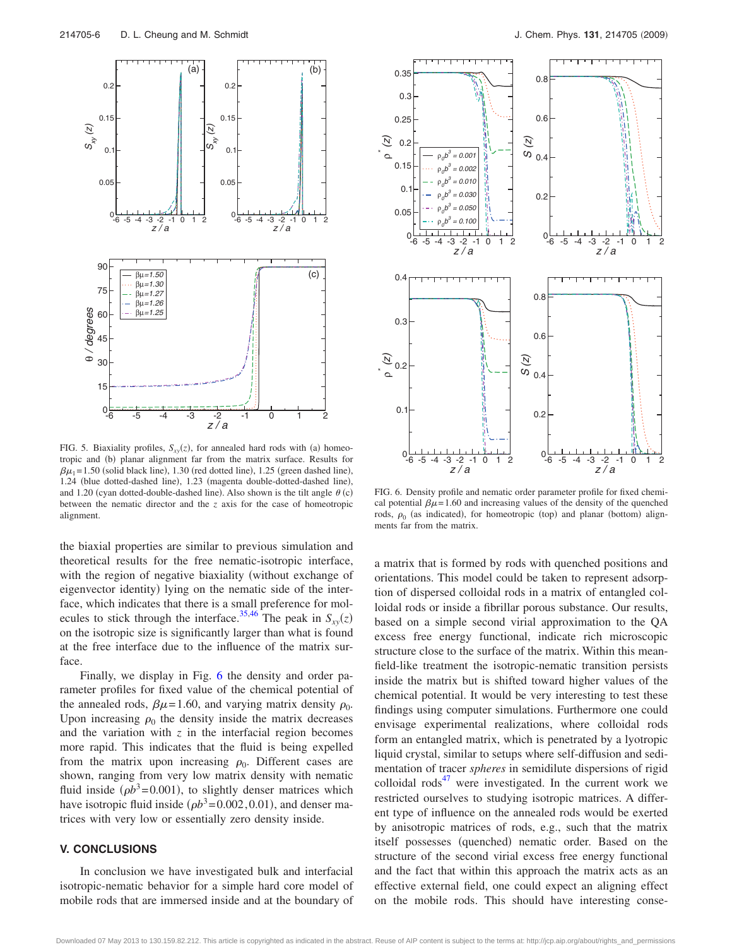<span id="page-5-0"></span>

FIG. 5. Biaxiality profiles,  $S_{xy}(z)$ , for annealed hard rods with (a) homeotropic and (b) planar alignment far from the matrix surface. Results for  $\beta\mu_1 = 1.50$  (solid black line), 1.30 (red dotted line), 1.25 (green dashed line), 1.24 (blue dotted-dashed line), 1.23 (magenta double-dotted-dashed line), and 1.20 (cyan dotted-double-dashed line). Also shown is the tilt angle  $\theta$  (c) between the nematic director and the *z* axis for the case of homeotropic alignment.

the biaxial properties are similar to previous simulation and theoretical results for the free nematic-isotropic interface, with the region of negative biaxiality (without exchange of eigenvector identity) lying on the nematic side of the interface, which indicates that there is a small preference for mol-ecules to stick through the interface.<sup>35[,46](#page-6-38)</sup> The peak in  $S_{xy}(z)$ on the isotropic size is significantly larger than what is found at the free interface due to the influence of the matrix surface.

Finally, we display in Fig. [6](#page-5-1) the density and order parameter profiles for fixed value of the chemical potential of the annealed rods,  $\beta \mu = 1.60$ , and varying matrix density  $\rho_0$ . Upon increasing  $\rho_0$  the density inside the matrix decreases and the variation with  $z$  in the interfacial region becomes more rapid. This indicates that the fluid is being expelled from the matrix upon increasing  $\rho_0$ . Different cases are shown, ranging from very low matrix density with nematic fluid inside  $(\rho b^3 = 0.001)$ , to slightly denser matrices which have isotropic fluid inside  $(\rho b^3 = 0.002, 0.01)$ , and denser matrices with very low or essentially zero density inside.

# **V. CONCLUSIONS**

In conclusion we have investigated bulk and interfacial isotropic-nematic behavior for a simple hard core model of mobile rods that are immersed inside and at the boundary of

<span id="page-5-1"></span>

FIG. 6. Density profile and nematic order parameter profile for fixed chemical potential  $\beta \mu = 1.60$  and increasing values of the density of the quenched rods,  $\rho_0$  (as indicated), for homeotropic (top) and planar (bottom) alignments far from the matrix.

a matrix that is formed by rods with quenched positions and orientations. This model could be taken to represent adsorption of dispersed colloidal rods in a matrix of entangled colloidal rods or inside a fibrillar porous substance. Our results, based on a simple second virial approximation to the QA excess free energy functional, indicate rich microscopic structure close to the surface of the matrix. Within this meanfield-like treatment the isotropic-nematic transition persists inside the matrix but is shifted toward higher values of the chemical potential. It would be very interesting to test these findings using computer simulations. Furthermore one could envisage experimental realizations, where colloidal rods form an entangled matrix, which is penetrated by a lyotropic liquid crystal, similar to setups where self-diffusion and sedimentation of tracer *spheres* in semidilute dispersions of rigid colloidal  $\mathrm{rods}^{47}$  were investigated. In the current work we restricted ourselves to studying isotropic matrices. A different type of influence on the annealed rods would be exerted by anisotropic matrices of rods, e.g., such that the matrix itself possesses (quenched) nematic order. Based on the structure of the second virial excess free energy functional and the fact that within this approach the matrix acts as an effective external field, one could expect an aligning effect on the mobile rods. This should have interesting conse-